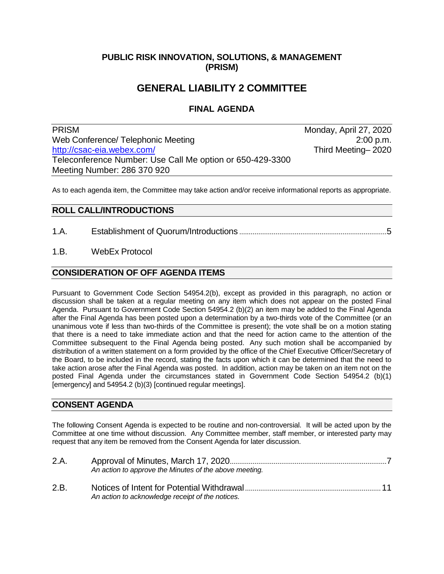### **PUBLIC RISK INNOVATION, SOLUTIONS, & MANAGEMENT (PRISM)**

# **GENERAL LIABILITY 2 COMMITTEE**

### **FINAL AGENDA**

PRISM Monday, April 27, 2020 Web Conference/ Telephonic Meeting 2:00 p.m.<br>http://csac-eia.webex.com/ **2:00 p.m.**<br>Third Meeting 2020 [http://csac-eia.webex.com/](https://csac-eia.webex.com/csac-eia/j.php?MTID=mc7444ebf899ca31227ca625a303bc6bb) Teleconference Number: Use Call Me option or 650-429-3300 Meeting Number: 286 370 920

As to each agenda item, the Committee may take action and/or receive informational reports as appropriate.

#### **ROLL CALL/INTRODUCTIONS**

- 1.A. Establishment of Quorum/Introductions .............................................................................5
- 1.B. WebEx Protocol

#### **CONSIDERATION OF OFF AGENDA ITEMS**

Pursuant to Government Code Section 54954.2(b), except as provided in this paragraph, no action or discussion shall be taken at a regular meeting on any item which does not appear on the posted Final Agenda. Pursuant to Government Code Section 54954.2 (b)(2) an item may be added to the Final Agenda after the Final Agenda has been posted upon a determination by a two-thirds vote of the Committee (or an unanimous vote if less than two-thirds of the Committee is present); the vote shall be on a motion stating that there is a need to take immediate action and that the need for action came to the attention of the Committee subsequent to the Final Agenda being posted. Any such motion shall be accompanied by distribution of a written statement on a form provided by the office of the Chief Executive Officer/Secretary of the Board, to be included in the record, stating the facts upon which it can be determined that the need to take action arose after the Final Agenda was posted. In addition, action may be taken on an item not on the posted Final Agenda under the circumstances stated in Government Code Section 54954.2 (b)(1) [emergency] and 54954.2 (b)(3) [continued regular meetings].

#### **CONSENT AGENDA**

The following Consent Agenda is expected to be routine and non-controversial. It will be acted upon by the Committee at one time without discussion. Any Committee member, staff member, or interested party may request that any item be removed from the Consent Agenda for later discussion.

| 2.A. | An action to approve the Minutes of the above meeting. |
|------|--------------------------------------------------------|
| 2.B. | An action to acknowledge receipt of the notices.       |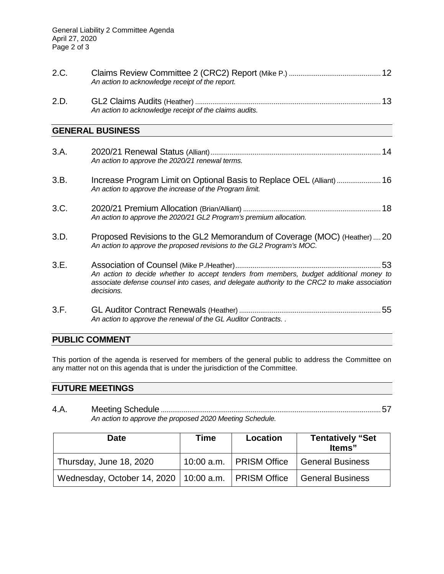| 2.C. | An action to acknowledge receipt of the report.                                                                                                                                                      |
|------|------------------------------------------------------------------------------------------------------------------------------------------------------------------------------------------------------|
| 2.D. | An action to acknowledge receipt of the claims audits.                                                                                                                                               |
|      | <b>GENERAL BUSINESS</b>                                                                                                                                                                              |
| 3.A. | An action to approve the 2020/21 renewal terms.                                                                                                                                                      |
| 3.B. | Increase Program Limit on Optional Basis to Replace OEL (Alliant)  16<br>An action to approve the increase of the Program limit.                                                                     |
| 3.C. | An action to approve the 2020/21 GL2 Program's premium allocation.                                                                                                                                   |
| 3.D. | Proposed Revisions to the GL2 Memorandum of Coverage (MOC) (Heather)  20<br>An action to approve the proposed revisions to the GL2 Program's MOC.                                                    |
| 3.E. | An action to decide whether to accept tenders from members, budget additional money to<br>associate defense counsel into cases, and delegate authority to the CRC2 to make association<br>decisions. |
| 3.F. | An action to approve the renewal of the GL Auditor Contracts. .                                                                                                                                      |

## **PUBLIC COMMENT**

This portion of the agenda is reserved for members of the general public to address the Committee on any matter not on this agenda that is under the jurisdiction of the Committee.

## **FUTURE MEETINGS**

4.A. Meeting Schedule ...................................................................................................................57 *An action to approve the proposed 2020 Meeting Schedule.*

| <b>Date</b>                                             | Time | Location                  | <b>Tentatively "Set</b><br>Items" |
|---------------------------------------------------------|------|---------------------------|-----------------------------------|
| Thursday, June 18, 2020                                 |      | 10:00 a.m.   PRISM Office | <b>General Business</b>           |
| Wednesday, October 14, 2020   10:00 a.m.   PRISM Office |      |                           | <b>General Business</b>           |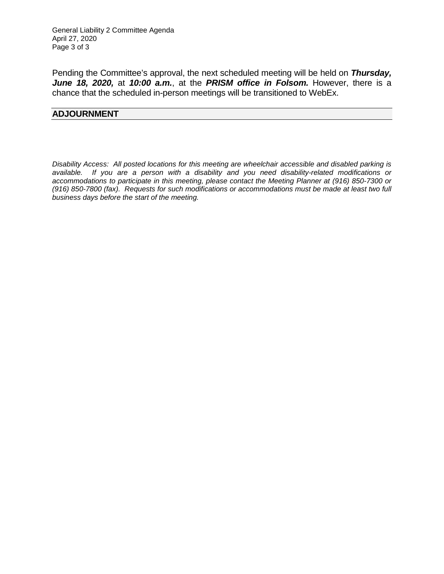Pending the Committee's approval, the next scheduled meeting will be held on *Thursday, June 18, 2020,* at *10:00 a.m.*, at the *PRISM office in Folsom.* However, there is a chance that the scheduled in-person meetings will be transitioned to WebEx.

#### **ADJOURNMENT**

*Disability Access: All posted locations for this meeting are wheelchair accessible and disabled parking is available. If you are a person with a disability and you need disability-related modifications or accommodations to participate in this meeting, please contact the Meeting Planner at (916) 850-7300 or (916) 850-7800 (fax). Requests for such modifications or accommodations must be made at least two full business days before the start of the meeting.*